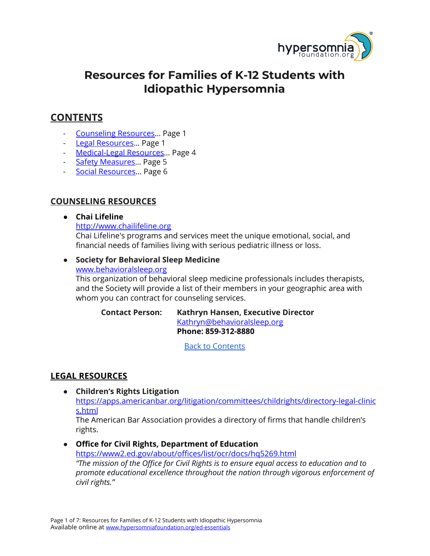

# **Resources for Families of K-12 Students with Idiopathic Hypersomnia**

# <span id="page-0-2"></span>**CONTENTS**

- [Counseling](#page-0-0) Resources… Page 1
- Legal [Resources](#page-0-1)… Page 1
- [Medical-Legal](#page-3-0) Resources… Page 4
- Safety Measures... Page 5
- Social [Resources…](#page-5-0) Page 6

# <span id="page-0-0"></span>**COUNSELING RESOURCES**

## **● Chai Lifeline**

[http://www.chailifeline.org](http://www.chailifeline.org/)

Chai Lifeline's programs and services meet the unique emotional, social, and financial needs of families living with serious pediatric illness or loss.

#### ● **Society for Behavioral Sleep Medicine**

[www.behavioralsleep.org](http://www.behavioralsleep.org/) This organization of behavioral sleep medicine professionals includes therapists, and the Society will provide a list of their members in your geographic area with

whom you can contract for counseling services. **Contact Person: Kathryn Hansen, Executive Director**

[Kathryn@behavioralsleep.org](mailto:Kathryn@behavioralsleep.org) **Phone: 859-312-8880**

Back to [Contents](#page-0-2)

# <span id="page-0-1"></span>**LEGAL RESOURCES**

**● Children's Rights Litigation** [https://apps.americanbar.org/litigation/committees/childrights/directory-legal-clinic](https://apps.americanbar.org/litigation/committees/childrights/directory-legal-clinics.html) [s.html](https://apps.americanbar.org/litigation/committees/childrights/directory-legal-clinics.html)

The American Bar Association provides a directory of firms that handle children's rights.

**● Office for Civil Rights, Department of Education**

<https://www2.ed.gov/about/offices/list/ocr/docs/hq5269.html> *"The mission of the Office for Civil Rights is to ensure equal access to education and to promote educational excellence throughout the nation through vigorous enforcement of civil rights."*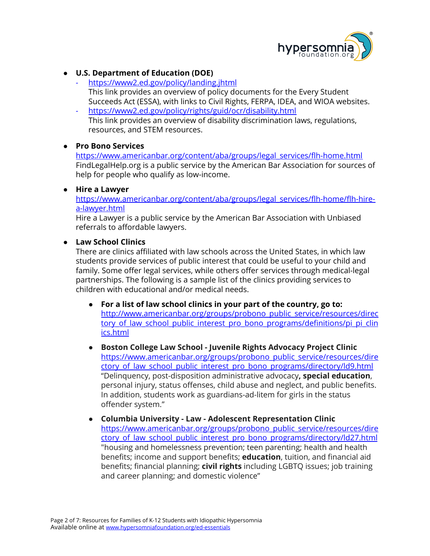

## **● U.S. Department of Education (DOE)**

- *-* <https://www2.ed.gov/policy/landing.jhtml> This link provides an overview of policy documents for the Every Student Succeeds Act (ESSA), with links to Civil Rights, FERPA, IDEA, and WIOA websites.
- *-* <https://www2.ed.gov/policy/rights/guid/ocr/disability.html> This link provides an overview of disability discrimination laws, regulations, resources, and STEM resources.

#### **● Pro Bono Services**

[https://www.americanbar.org/content/aba/groups/legal\\_services/flh-home.html](https://www.americanbar.org/content/aba/groups/legal_services/flh-home.html) FindLegalHelp.org is a public service by the American Bar Association for sources of help for people who qualify as low-income.

#### **● Hire a Lawyer**

[https://www.americanbar.org/content/aba/groups/legal\\_services/flh-home/flh-hire](https://www.americanbar.org/content/aba/groups/legal_services/flh-home/flh-hire-a-lawyer.html)[a-lawyer.html](https://www.americanbar.org/content/aba/groups/legal_services/flh-home/flh-hire-a-lawyer.html)

Hire a Lawyer is a public service by the American Bar Association with Unbiased referrals to affordable lawyers.

#### **● Law School Clinics**

There are clinics affiliated with law schools across the United States, in which law students provide services of public interest that could be useful to your child and family. Some offer legal services, while others offer services through medical-legal partnerships. The following is a sample list of the clinics providing services to children with educational and/or medical needs.

- **For a list of law school clinics in your part of the country, go to:** [http://www.americanbar.org/groups/probono\\_public\\_service/resources/direc](http://www.americanbar.org/groups/probono_public_service/resources/directory_of_law_school_public_interest_pro_bono_programs/definitions/pi_pi_clinics.html) tory of law school public interest pro bono programs/definitions/pi pi clin [ics.html](http://www.americanbar.org/groups/probono_public_service/resources/directory_of_law_school_public_interest_pro_bono_programs/definitions/pi_pi_clinics.html)
- **● Boston College Law School - Juvenile Rights Advocacy Project Clinic** [https://www.americanbar.org/groups/probono\\_public\\_service/resources/dire](https://www.americanbar.org/groups/probono_public_service/resources/directory_of_law_school_public_interest_pro_bono_programs/directory/ld9.html) ctory of law school public interest pro bono programs/directory/ld9.html "Delinquency, post-disposition administrative advocacy**, special education**, personal injury, status offenses, child abuse and neglect, and public benefits. In addition, students work as guardians-ad-litem for girls in the status offender system."
- **● Columbia University - Law - Adolescent Representation Clinic** [https://www.americanbar.org/groups/probono\\_public\\_service/resources/dire](https://www.americanbar.org/groups/probono_public_service/resources/directory_of_law_school_public_interest_pro_bono_programs/directory/ld27.html) ctory of law school public interest pro bono programs/directory/ld27.html "housing and homelessness prevention; teen parenting; health and health benefits; income and support benefits; **education**, tuition, and financial aid benefits; financial planning; **civil rights** including LGBTQ issues; job training and career planning; and domestic violence"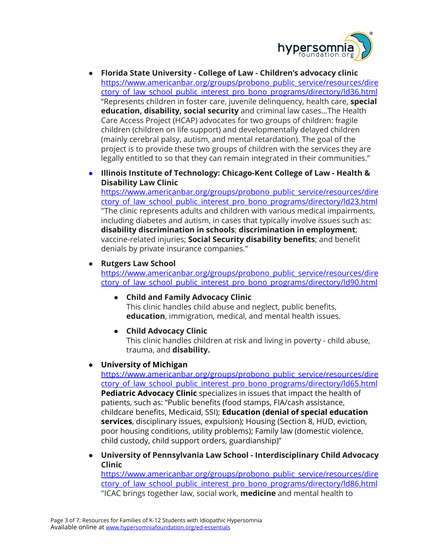

- **● Florida State University - College of Law - Children's advocacy clinic** [https://www.americanbar.org/groups/probono\\_public\\_service/resources/dire](https://www.americanbar.org/groups/probono_public_service/resources/directory_of_law_school_public_interest_pro_bono_programs/directory/ld36.html) ctory of law school public interest pro bono programs/directory/ld36.html "Represents children in foster care, juvenile delinquency, health care, **special education, disability, social security** and criminal law cases…The Health Care Access Project (HCAP) advocates for two groups of children: fragile children (children on life support) and developmentally delayed children (mainly cerebral palsy, autism, and mental retardation). The goal of the project is to provide these two groups of children with the services they are legally entitled to so that they can remain integrated in their communities."
- **● Illinois Institute of Technology: Chicago-Kent College of Law - Health & Disability Law Clinic**

[https://www.americanbar.org/groups/probono\\_public\\_service/resources/dire](https://www.americanbar.org/groups/probono_public_service/resources/directory_of_law_school_public_interest_pro_bono_programs/directory/ld23.html) ctory of law school public interest pro bono programs/directory/ld23.html "The clinic represents adults and children with various medical impairments, including diabetes and autism, in cases that typically involve issues such as: **disability discrimination in schools**; **discrimination in employment**; vaccine-related injuries; **Social Security disability benefits**; and benefit denials by private insurance companies."

**● Rutgers Law School**

[https://www.americanbar.org/groups/probono\\_public\\_service/resources/dire](https://www.americanbar.org/groups/probono_public_service/resources/directory_of_law_school_public_interest_pro_bono_programs/directory/ld90.html) ctory of law school public interest pro bono programs/directory/ld90.html

- **● Child and Family Advocacy Clinic** This clinic handles child abuse and neglect, public benefits, **education**, immigration, medical, and mental health issues.
- **● Child Advocacy Clinic**

This clinic handles children at risk and living in poverty - child abuse, trauma, and **disability.**

## **● University of Michigan**

[https://www.americanbar.org/groups/probono\\_public\\_service/resources/dire](https://www.americanbar.org/groups/probono_public_service/resources/directory_of_law_school_public_interest_pro_bono_programs/directory/ld65.html) [ctory\\_of\\_law\\_school\\_public\\_interest\\_pro\\_bono\\_programs/directory/ld65.html](https://www.americanbar.org/groups/probono_public_service/resources/directory_of_law_school_public_interest_pro_bono_programs/directory/ld65.html) **Pediatric Advocacy Clinic** specializes in issues that impact the health of patients, such as: "Public benefits (food stamps, FIA/cash assistance, childcare benefits, Medicaid, SSI); **Education (denial of special education services**, disciplinary issues, expulsion); Housing (Section 8, HUD, eviction, poor housing conditions, utility problems); Family law (domestic violence, child custody, child support orders, guardianship)"

**● University of Pennsylvania Law School - Interdisciplinary Child Advocacy Clinic**

[https://www.americanbar.org/groups/probono\\_public\\_service/resources/dire](https://www.americanbar.org/groups/probono_public_service/resources/directory_of_law_school_public_interest_pro_bono_programs/directory/ld86.html) ctory of law school public interest pro bono programs/directory/ld86.html "ICAC brings together law, social work, **medicine** and mental health to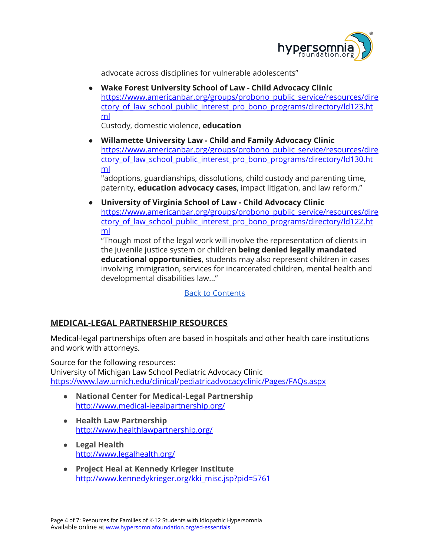

advocate across disciplines for vulnerable adolescents"

**● Wake Forest University School of Law - Child Advocacy Clinic** [https://www.americanbar.org/groups/probono\\_public\\_service/resources/dire](https://www.americanbar.org/groups/probono_public_service/resources/directory_of_law_school_public_interest_pro_bono_programs/directory/ld123.html) ctory of law school public interest pro bono programs/directory/ld123.ht [ml](https://www.americanbar.org/groups/probono_public_service/resources/directory_of_law_school_public_interest_pro_bono_programs/directory/ld123.html)

Custody, domestic violence, **education**

**● Willamette University Law - Child and Family Advocacy Clinic** [https://www.americanbar.org/groups/probono\\_public\\_service/resources/dire](https://www.americanbar.org/groups/probono_public_service/resources/directory_of_law_school_public_interest_pro_bono_programs/directory/ld130.html) ctory of law school public interest pro bono programs/directory/ld130.ht [ml](https://www.americanbar.org/groups/probono_public_service/resources/directory_of_law_school_public_interest_pro_bono_programs/directory/ld130.html)

"adoptions, guardianships, dissolutions, child custody and parenting time, paternity, **education advocacy cases**, impact litigation, and law reform."

**● University of Virginia School of Law - Child Advocacy Clinic** [https://www.americanbar.org/groups/probono\\_public\\_service/resources/dire](https://www.americanbar.org/groups/probono_public_service/resources/directory_of_law_school_public_interest_pro_bono_programs/directory/ld122.html) ctory of law school public interest pro bono programs/directory/ld122.ht [ml](https://www.americanbar.org/groups/probono_public_service/resources/directory_of_law_school_public_interest_pro_bono_programs/directory/ld122.html)

"Though most of the legal work will involve the representation of clients in the juvenile justice system or children **being denied legally mandated educational opportunities**, students may also represent children in cases involving immigration, services for incarcerated children, mental health and developmental disabilities law…"

Back to [Contents](#page-0-2)

# <span id="page-3-0"></span>**MEDICAL-LEGAL PARTNERSHIP RESOURCES**

Medical-legal partnerships often are based in hospitals and other health care institutions and work with attorneys.

Source for the following resources:

University of Michigan Law School Pediatric Advocacy Clinic <https://www.law.umich.edu/clinical/pediatricadvocacyclinic/Pages/FAQs.aspx>

- **● National Center for Medical-Legal Partnership** <http://www.medical-legalpartnership.org/>
- **● Health Law Partnership** <http://www.healthlawpartnership.org/>
- **● Legal Health** <http://www.legalhealth.org/>
- **● Project Heal at Kennedy Krieger Institute** [http://www.kennedykrieger.org/kki\\_misc.jsp?pid=5761](http://www.kennedykrieger.org/kki_misc.jsp?pid=5761)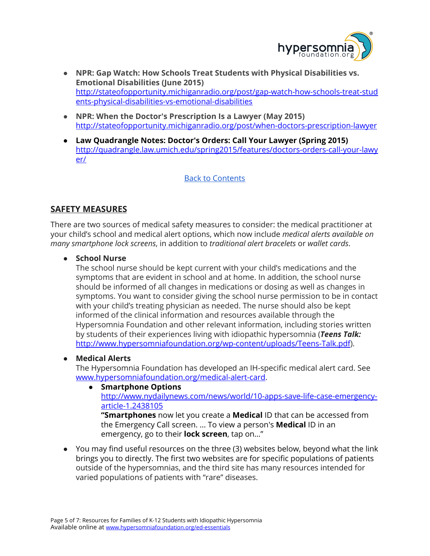

- **● NPR: Gap Watch: How Schools Treat Students with Physical Disabilities vs. Emotional Disabilities (June 2015)** [http://stateofopportunity.michiganradio.org/post/gap-watch-how-schools-treat-stud](http://stateofopportunity.michiganradio.org/post/gap-watch-how-schools-treat-students-physical-disabilities-vs-emotional-disabilities) [ents-physical-disabilities-vs-emotional-disabilities](http://stateofopportunity.michiganradio.org/post/gap-watch-how-schools-treat-students-physical-disabilities-vs-emotional-disabilities)
- **● NPR: When the Doctor's Prescription Is a Lawyer (May 2015)** <http://stateofopportunity.michiganradio.org/post/when-doctors-prescription-lawyer>
- **● Law Quadrangle Notes: Doctor's Orders: Call Your Lawyer (Spring 2015)** [http://quadrangle.law.umich.edu/spring2015/features/doctors-orders-call-your-lawy](http://quadrangle.law.umich.edu/spring2015/features/doctors-orders-call-your-lawyer/) [er/](http://quadrangle.law.umich.edu/spring2015/features/doctors-orders-call-your-lawyer/)

## Back to [Contents](#page-0-2)

# <span id="page-4-0"></span>**SAFETY MEASURES**

There are two sources of medical safety measures to consider: the medical practitioner at your child's school and medical alert options, which now include *medical alerts available on many smartphone lock screens*, in addition to *traditional alert bracelets* or *wallet cards*.

● **School Nurse**

The school nurse should be kept current with your child's medications and the symptoms that are evident in school and at home. In addition, the school nurse should be informed of all changes in medications or dosing as well as changes in symptoms. You want to consider giving the school nurse permission to be in contact with your child's treating physician as needed. The nurse should also be kept informed of the clinical information and resources available through the Hypersomnia Foundation and other relevant information, including stories written by students of their experiences living with idiopathic hypersomnia (*Teens Talk:* <http://www.hypersomniafoundation.org/wp-content/uploads/Teens-Talk.pdf>).

## **● Medical Alerts**

The Hypersomnia Foundation has developed an IH-specific medical alert card. See [www.hypersomniafoundation.org/medical-alert-card.](http://www.hypersomniafoundation.org/medical-alert-card)

#### **● Smartphone Options** [http://www.nydailynews.com/news/world/10-apps-save-life-case-emergency](http://www.nydailynews.com/news/world/10-apps-save-life-case-emergency-article-1.2438105)[article-1.2438105](http://www.nydailynews.com/news/world/10-apps-save-life-case-emergency-article-1.2438105) **"Smartphones** now let you create a **Medical** ID that can be accessed from the Emergency Call screen. ... To view a person's **Medical** ID in an emergency, go to their **lock screen**, tap on…"

● You may find useful resources on the three (3) websites below, beyond what the link brings you to directly. The first two websites are for specific populations of patients outside of the hypersomnias, and the third site has many resources intended for varied populations of patients with "rare" diseases.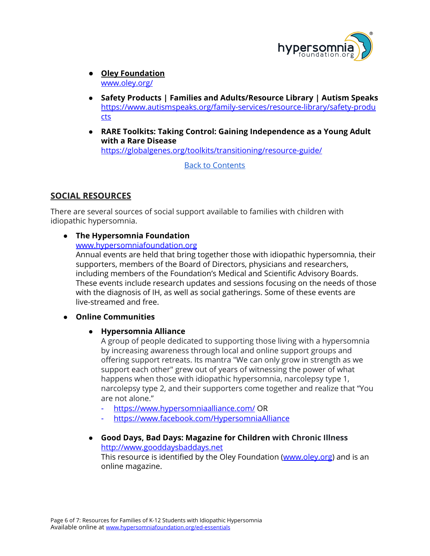

- **Oley Foundation** [www.oley.org/](http://www.oley.org/)
- **● Safety Products | Families and Adults/Resource Library | Autism Speaks** [https://www.autismspeaks.org/family-services/resource-library/safety-produ](https://www.autismspeaks.org/family-services/resource-library/safety-products) [cts](https://www.autismspeaks.org/family-services/resource-library/safety-products)
- **● RARE Toolkits: Taking Control: Gaining Independence as a Young Adult with a Rare Disease** <https://globalgenes.org/toolkits/transitioning/resource-guide/>

Back to [Contents](#page-0-2)

# <span id="page-5-0"></span>**SOCIAL RESOURCES**

There are several sources of social support available to families with children with idiopathic hypersomnia.

# **● The Hypersomnia Foundation**

#### [www.hypersomniafoundation.org](http://www.hypersomniafoundation.org/)

Annual events are held that bring together those with idiopathic hypersomnia, their supporters, members of the Board of Directors, physicians and researchers, including members of the Foundation's Medical and Scientific Advisory Boards. These events include research updates and sessions focusing on the needs of those with the diagnosis of IH, as well as social gatherings. Some of these events are live-streamed and free.

## ● **Online Communities**

## ● **Hypersomnia Alliance**

A group of people dedicated to supporting those living with a hypersomnia by increasing awareness through local and online support groups and offering support retreats. Its mantra "We can only grow in strength as we support each other" grew out of years of witnessing the power of what happens when those with idiopathic hypersomnia, narcolepsy type 1, narcolepsy type 2, and their supporters come together and realize that "You are not alone."

- <https://www.hypersomniaalliance.com/> OR
- <https://www.facebook.com/HypersomniaAlliance>
- **● Good Days, Bad Days: Magazine for Children with Chronic Illness** [http://www.gooddaysbaddays.net](http://www.gooddaysbaddays.net/) This resource is identified by the Oley Foundation ([www.oley.org](http://www.oley.org/)) and is an

online magazine.